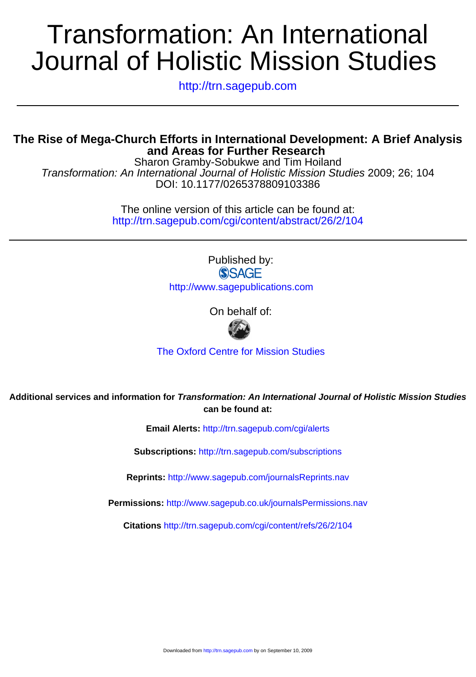# Journal of Holistic Mission Studies Transformation: An International

http://trn.sagepub.com

### **and Areas for Further Research The Rise of Mega-Church Efforts in International Development: A Brief Analysis**

DOI: 10.1177/0265378809103386 Transformation: An International Journal of Holistic Mission Studies 2009; 26; 104 Sharon Gramby-Sobukwe and Tim Hoiland

> http://trn.sagepub.com/cgi/content/abstract/26/2/104 The online version of this article can be found at:

> > Published by: **SSAGF** http://www.sagepublications.com

> > > On behalf of:



#### [The Oxford Centre for Mission Studies](http://www.ocms.ac.uk/)

#### **can be found at: Additional services and information for Transformation: An International Journal of Holistic Mission Studies**

**Email Alerts:** <http://trn.sagepub.com/cgi/alerts>

**Subscriptions:** <http://trn.sagepub.com/subscriptions>

**Reprints:** <http://www.sagepub.com/journalsReprints.nav>

**Permissions:** <http://www.sagepub.co.uk/journalsPermissions.nav>

**Citations** <http://trn.sagepub.com/cgi/content/refs/26/2/104>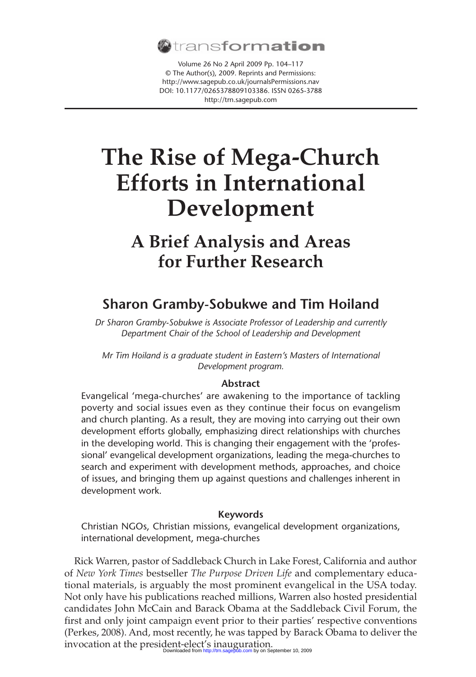

Volume 26 No 2 April 2009 Pp. 104–117 © The Author(s), 2009. Reprints and Permissions: http://www.sagepub.co.uk/journalsPermissions.nav DOI: 10.1177/0265378809103386. ISSN 0265-3788 http://trn.sagepub.com

# **The Rise of Mega-Church Efforts in International Development**

# **A Brief Analysis and Areas for Further Research**

## **Sharon Gramby-Sobukwe and Tim Hoiland**

*Dr Sharon Gramby-Sobukwe is Associate Professor of Leadership and currently Department Chair of the School of Leadership and Development*

*Mr Tim Hoiland is a graduate student in Eastern's Masters of International Development program.*

#### **Abstract**

Evangelical 'mega-churches' are awakening to the importance of tackling poverty and social issues even as they continue their focus on evangelism and church planting. As a result, they are moving into carrying out their own development efforts globally, emphasizing direct relationships with churches in the developing world. This is changing their engagement with the 'professional' evangelical development organizations, leading the mega-churches to search and experiment with development methods, approaches, and choice of issues, and bringing them up against questions and challenges inherent in development work.

#### **Keywords**

Christian NGOs, Christian missions, evangelical development organizations, international development, mega-churches

Rick Warren, pastor of Saddleback Church in Lake Forest, California and author of *New York Times* bestseller *The Purpose Driven Life* and complementary educational materials, is arguably the most prominent evangelical in the USA today. Not only have his publications reached millions, Warren also hosted presidential candidates John McCain and Barack Obama at the Saddleback Civil Forum, the first and only joint campaign event prior to their parties' respective conventions (Perkes, 2008). And, most recently, he was tapped by Barack Obama to deliver the invocation at the president-elect's inauguration.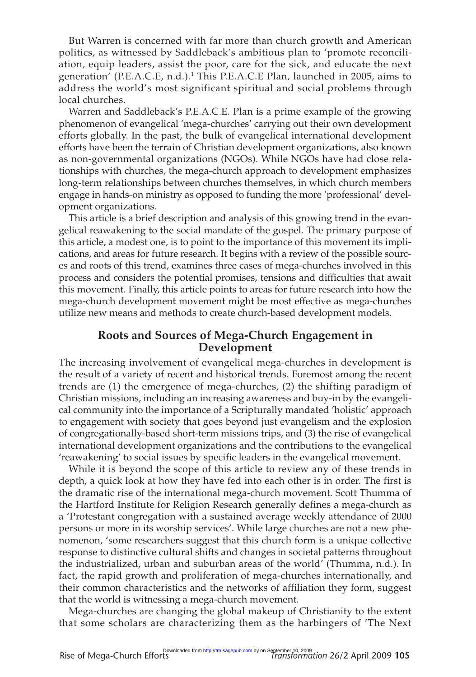But Warren is concerned with far more than church growth and American politics, as witnessed by Saddleback's ambitious plan to 'promote reconciliation, equip leaders, assist the poor, care for the sick, and educate the next generation' (P.E.A.C.E, n.d.).<sup>1</sup> This P.E.A.C.E Plan, launched in 2005, aims to address the world's most significant spiritual and social problems through local churches.

Warren and Saddleback's P.E.A.C.E. Plan is a prime example of the growing phenomenon of evangelical 'mega-churches' carrying out their own development efforts globally. In the past, the bulk of evangelical international development efforts have been the terrain of Christian development organizations, also known as non-governmental organizations (NGOs). While NGOs have had close relationships with churches, the mega-church approach to development emphasizes long-term relationships between churches themselves, in which church members engage in hands-on ministry as opposed to funding the more 'professional' development organizations.

This article is a brief description and analysis of this growing trend in the evangelical reawakening to the social mandate of the gospel. The primary purpose of this article, a modest one, is to point to the importance of this movement its implications, and areas for future research. It begins with a review of the possible sources and roots of this trend, examines three cases of mega-churches involved in this process and considers the potential promises, tensions and difficulties that await this movement. Finally, this article points to areas for future research into how the mega-church development movement might be most effective as mega-churches utilize new means and methods to create church-based development models.

#### **Roots and Sources of Mega-Church Engagement in Development**

The increasing involvement of evangelical mega-churches in development is the result of a variety of recent and historical trends. Foremost among the recent trends are (1) the emergence of mega-churches, (2) the shifting paradigm of Christian missions, including an increasing awareness and buy-in by the evangelical community into the importance of a Scripturally mandated 'holistic' approach to engagement with society that goes beyond just evangelism and the explosion of congregationally-based short-term missions trips, and (3) the rise of evangelical international development organizations and the contributions to the evangelical 'reawakening' to social issues by specific leaders in the evangelical movement.

While it is beyond the scope of this article to review any of these trends in depth, a quick look at how they have fed into each other is in order. The first is the dramatic rise of the international mega-church movement. Scott Thumma of the Hartford Institute for Religion Research generally defines a mega-church as a 'Protestant congregation with a sustained average weekly attendance of 2000 persons or more in its worship services'. While large churches are not a new phenomenon, 'some researchers suggest that this church form is a unique collective response to distinctive cultural shifts and changes in societal patterns throughout the industrialized, urban and suburban areas of the world' (Thumma, n.d.). In fact, the rapid growth and proliferation of mega-churches internationally, and their common characteristics and the networks of affiliation they form, suggest that the world is witnessing a mega-church movement.

Mega-churches are changing the global makeup of Christianity to the extent that some scholars are characterizing them as the harbingers of 'The Next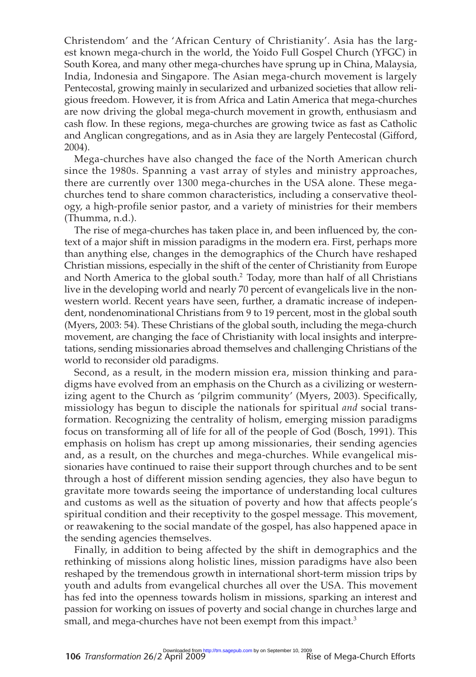Christendom' and the 'African Century of Christianity'. Asia has the largest known mega-church in the world, the Yoido Full Gospel Church (YFGC) in South Korea, and many other mega-churches have sprung up in China, Malaysia, India, Indonesia and Singapore. The Asian mega-church movement is largely Pentecostal, growing mainly in secularized and urbanized societies that allow religious freedom. However, it is from Africa and Latin America that mega-churches are now driving the global mega-church movement in growth, enthusiasm and cash flow. In these regions, mega-churches are growing twice as fast as Catholic and Anglican congregations, and as in Asia they are largely Pentecostal (Gifford, 2004).

Mega-churches have also changed the face of the North American church since the 1980s. Spanning a vast array of styles and ministry approaches, there are currently over 1300 mega-churches in the USA alone. These megachurches tend to share common characteristics, including a conservative theology, a high-profile senior pastor, and a variety of ministries for their members (Thumma, n.d.).

The rise of mega-churches has taken place in, and been influenced by, the context of a major shift in mission paradigms in the modern era. First, perhaps more than anything else, changes in the demographics of the Church have reshaped Christian missions, especially in the shift of the center of Christianity from Europe and North America to the global south.2 Today, more than half of all Christians live in the developing world and nearly 70 percent of evangelicals live in the nonwestern world. Recent years have seen, further, a dramatic increase of independent, nondenominational Christians from 9 to 19 percent, most in the global south (Myers, 2003: 54). These Christians of the global south, including the mega-church movement, are changing the face of Christianity with local insights and interpretations, sending missionaries abroad themselves and challenging Christians of the world to reconsider old paradigms.

Second, as a result, in the modern mission era, mission thinking and paradigms have evolved from an emphasis on the Church as a civilizing or westernizing agent to the Church as 'pilgrim community' (Myers, 2003). Specifically, missiology has begun to disciple the nationals for spiritual *and* social transformation. Recognizing the centrality of holism, emerging mission paradigms focus on transforming all of life for all of the people of God (Bosch, 1991). This emphasis on holism has crept up among missionaries, their sending agencies and, as a result, on the churches and mega-churches. While evangelical missionaries have continued to raise their support through churches and to be sent through a host of different mission sending agencies, they also have begun to gravitate more towards seeing the importance of understanding local cultures and customs as well as the situation of poverty and how that affects people's spiritual condition and their receptivity to the gospel message. This movement, or reawakening to the social mandate of the gospel, has also happened apace in the sending agencies themselves.

Finally, in addition to being affected by the shift in demographics and the rethinking of missions along holistic lines, mission paradigms have also been reshaped by the tremendous growth in international short-term mission trips by youth and adults from evangelical churches all over the USA. This movement has fed into the openness towards holism in missions, sparking an interest and passion for working on issues of poverty and social change in churches large and small, and mega-churches have not been exempt from this impact.<sup>3</sup>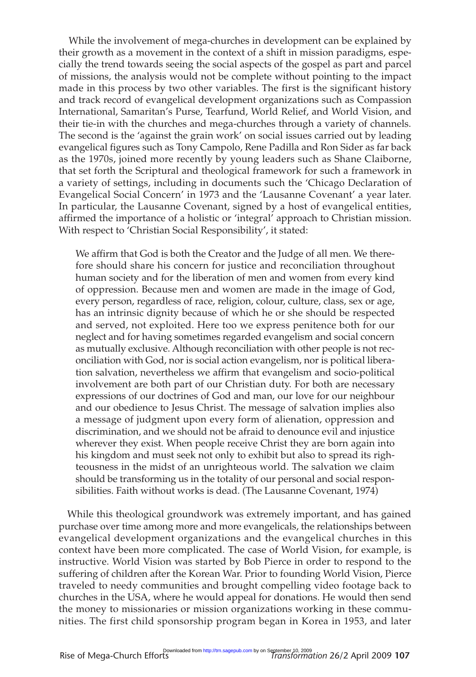While the involvement of mega-churches in development can be explained by their growth as a movement in the context of a shift in mission paradigms, especially the trend towards seeing the social aspects of the gospel as part and parcel of missions, the analysis would not be complete without pointing to the impact made in this process by two other variables. The first is the significant history and track record of evangelical development organizations such as Compassion International, Samaritan's Purse, Tearfund, World Relief, and World Vision, and their tie-in with the churches and mega-churches through a variety of channels. The second is the 'against the grain work' on social issues carried out by leading evangelical figures such as Tony Campolo, Rene Padilla and Ron Sider as far back as the 1970s, joined more recently by young leaders such as Shane Claiborne, that set forth the Scriptural and theological framework for such a framework in a variety of settings, including in documents such the 'Chicago Declaration of Evangelical Social Concern' in 1973 and the 'Lausanne Covenant' a year later. In particular, the Lausanne Covenant, signed by a host of evangelical entities, affirmed the importance of a holistic or 'integral' approach to Christian mission. With respect to 'Christian Social Responsibility', it stated:

We affirm that God is both the Creator and the Judge of all men. We therefore should share his concern for justice and reconciliation throughout human society and for the liberation of men and women from every kind of oppression. Because men and women are made in the image of God, every person, regardless of race, religion, colour, culture, class, sex or age, has an intrinsic dignity because of which he or she should be respected and served, not exploited. Here too we express penitence both for our neglect and for having sometimes regarded evangelism and social concern as mutually exclusive. Although reconciliation with other people is not reconciliation with God, nor is social action evangelism, nor is political liberation salvation, nevertheless we affirm that evangelism and socio-political involvement are both part of our Christian duty. For both are necessary expressions of our doctrines of God and man, our love for our neighbour and our obedience to Jesus Christ. The message of salvation implies also a message of judgment upon every form of alienation, oppression and discrimination, and we should not be afraid to denounce evil and injustice wherever they exist. When people receive Christ they are born again into his kingdom and must seek not only to exhibit but also to spread its righteousness in the midst of an unrighteous world. The salvation we claim should be transforming us in the totality of our personal and social responsibilities. Faith without works is dead. (The Lausanne Covenant, 1974)

While this theological groundwork was extremely important, and has gained purchase over time among more and more evangelicals, the relationships between evangelical development organizations and the evangelical churches in this context have been more complicated. The case of World Vision, for example, is instructive. World Vision was started by Bob Pierce in order to respond to the suffering of children after the Korean War. Prior to founding World Vision, Pierce traveled to needy communities and brought compelling video footage back to churches in the USA, where he would appeal for donations. He would then send the money to missionaries or mission organizations working in these communities. The first child sponsorship program began in Korea in 1953, and later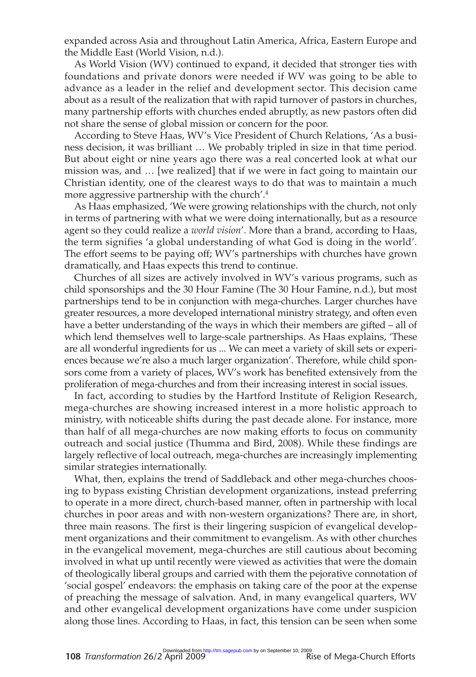expanded across Asia and throughout Latin America, Africa, Eastern Europe and the Middle East (World Vision, n.d.).

As World Vision (WV) continued to expand, it decided that stronger ties with foundations and private donors were needed if WV was going to be able to advance as a leader in the relief and development sector. This decision came about as a result of the realization that with rapid turnover of pastors in churches, many partnership efforts with churches ended abruptly, as new pastors often did not share the sense of global mission or concern for the poor.

According to Steve Haas, WV's Vice President of Church Relations, 'As a business decision, it was brilliant … We probably tripled in size in that time period. But about eight or nine years ago there was a real concerted look at what our mission was, and … [we realized] that if we were in fact going to maintain our Christian identity, one of the clearest ways to do that was to maintain a much more aggressive partnership with the church'.4

As Haas emphasized, 'We were growing relationships with the church, not only in terms of partnering with what we were doing internationally, but as a resource agent so they could realize a *world vision*'. More than a brand, according to Haas, the term signifies 'a global understanding of what God is doing in the world'. The effort seems to be paying off; WV's partnerships with churches have grown dramatically, and Haas expects this trend to continue.

Churches of all sizes are actively involved in WV's various programs, such as child sponsorships and the 30 Hour Famine (The 30 Hour Famine, n.d.), but most partnerships tend to be in conjunction with mega-churches. Larger churches have greater resources, a more developed international ministry strategy, and often even have a better understanding of the ways in which their members are gifted – all of which lend themselves well to large-scale partnerships. As Haas explains, 'These are all wonderful ingredients for us ... We can meet a variety of skill sets or experiences because we're also a much larger organization'. Therefore, while child sponsors come from a variety of places, WV's work has benefited extensively from the proliferation of mega-churches and from their increasing interest in social issues.

In fact, according to studies by the Hartford Institute of Religion Research, mega-churches are showing increased interest in a more holistic approach to ministry, with noticeable shifts during the past decade alone. For instance, more than half of all mega-churches are now making efforts to focus on community outreach and social justice (Thumma and Bird, 2008). While these findings are largely reflective of local outreach, mega-churches are increasingly implementing similar strategies internationally.

What, then, explains the trend of Saddleback and other mega-churches choosing to bypass existing Christian development organizations, instead preferring to operate in a more direct, church-based manner, often in partnership with local churches in poor areas and with non-western organizations? There are, in short, three main reasons. The first is their lingering suspicion of evangelical development organizations and their commitment to evangelism. As with other churches in the evangelical movement, mega-churches are still cautious about becoming involved in what up until recently were viewed as activities that were the domain of theologically liberal groups and carried with them the pejorative connotation of 'social gospel' endeavors: the emphasis on taking care of the poor at the expense of preaching the message of salvation. And, in many evangelical quarters, WV and other evangelical development organizations have come under suspicion along those lines. According to Haas, in fact, this tension can be seen when some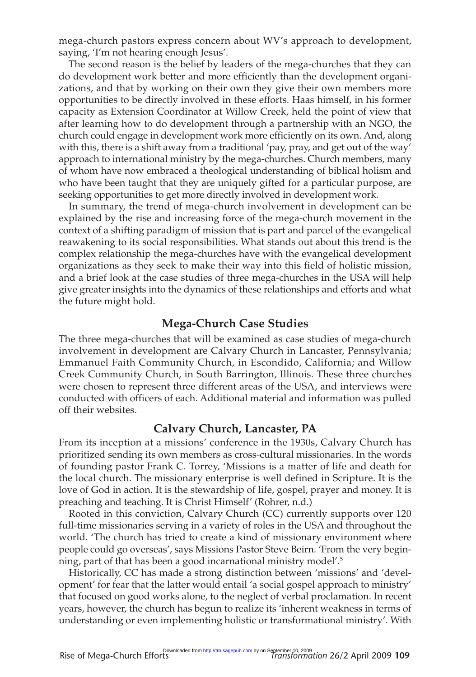mega-church pastors express concern about WV's approach to development, saying, 'I'm not hearing enough Jesus'.

The second reason is the belief by leaders of the mega-churches that they can do development work better and more efficiently than the development organizations, and that by working on their own they give their own members more opportunities to be directly involved in these efforts. Haas himself, in his former capacity as Extension Coordinator at Willow Creek, held the point of view that after learning how to do development through a partnership with an NGO, the church could engage in development work more efficiently on its own. And, along with this, there is a shift away from a traditional 'pay, pray, and get out of the way' approach to international ministry by the mega-churches. Church members, many of whom have now embraced a theological understanding of biblical holism and who have been taught that they are uniquely gifted for a particular purpose, are seeking opportunities to get more directly involved in development work.

In summary, the trend of mega-church involvement in development can be explained by the rise and increasing force of the mega-church movement in the context of a shifting paradigm of mission that is part and parcel of the evangelical reawakening to its social responsibilities. What stands out about this trend is the complex relationship the mega-churches have with the evangelical development organizations as they seek to make their way into this field of holistic mission, and a brief look at the case studies of three mega-churches in the USA will help give greater insights into the dynamics of these relationships and efforts and what the future might hold.

#### **Mega-Church Case Studies**

The three mega-churches that will be examined as case studies of mega-church involvement in development are Calvary Church in Lancaster, Pennsylvania; Emmanuel Faith Community Church, in Escondido, California; and Willow Creek Community Church, in South Barrington, Illinois. These three churches were chosen to represent three different areas of the USA, and interviews were conducted with officers of each. Additional material and information was pulled off their websites.

#### **Calvary Church, Lancaster, PA**

From its inception at a missions' conference in the 1930s, Calvary Church has prioritized sending its own members as cross-cultural missionaries. In the words of founding pastor Frank C. Torrey, 'Missions is a matter of life and death for the local church. The missionary enterprise is well defined in Scripture. It is the love of God in action. It is the stewardship of life, gospel, prayer and money. It is preaching and teaching. It is Christ Himself' (Rohrer, n.d.)

Rooted in this conviction, Calvary Church (CC) currently supports over 120 full-time missionaries serving in a variety of roles in the USA and throughout the world. 'The church has tried to create a kind of missionary environment where people could go overseas', says Missions Pastor Steve Beirn. 'From the very beginning, part of that has been a good incarnational ministry model'.5

Historically, CC has made a strong distinction between 'missions' and 'development' for fear that the latter would entail 'a social gospel approach to ministry' that focused on good works alone, to the neglect of verbal proclamation. In recent years, however, the church has begun to realize its 'inherent weakness in terms of understanding or even implementing holistic or transformational ministry'. With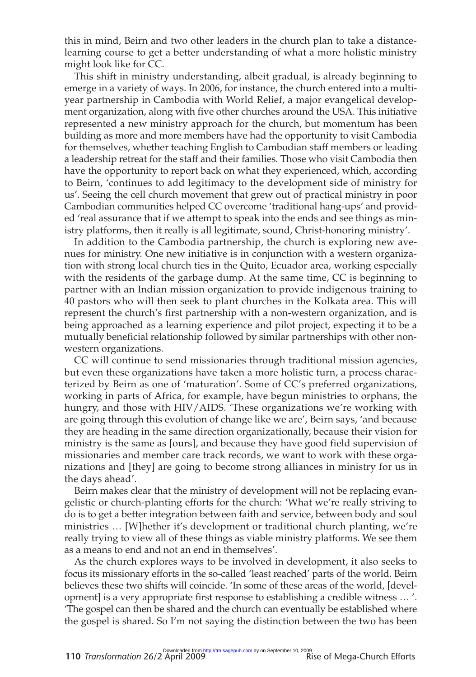this in mind, Beirn and two other leaders in the church plan to take a distancelearning course to get a better understanding of what a more holistic ministry might look like for CC.

This shift in ministry understanding, albeit gradual, is already beginning to emerge in a variety of ways. In 2006, for instance, the church entered into a multiyear partnership in Cambodia with World Relief, a major evangelical development organization, along with five other churches around the USA. This initiative represented a new ministry approach for the church, but momentum has been building as more and more members have had the opportunity to visit Cambodia for themselves, whether teaching English to Cambodian staff members or leading a leadership retreat for the staff and their families. Those who visit Cambodia then have the opportunity to report back on what they experienced, which, according to Beirn, 'continues to add legitimacy to the development side of ministry for us'. Seeing the cell church movement that grew out of practical ministry in poor Cambodian communities helped CC overcome 'traditional hang-ups' and provided 'real assurance that if we attempt to speak into the ends and see things as ministry platforms, then it really is all legitimate, sound, Christ-honoring ministry'.

In addition to the Cambodia partnership, the church is exploring new avenues for ministry. One new initiative is in conjunction with a western organization with strong local church ties in the Quito, Ecuador area, working especially with the residents of the garbage dump. At the same time, CC is beginning to partner with an Indian mission organization to provide indigenous training to 40 pastors who will then seek to plant churches in the Kolkata area. This will represent the church's first partnership with a non-western organization, and is being approached as a learning experience and pilot project, expecting it to be a mutually beneficial relationship followed by similar partnerships with other nonwestern organizations.

CC will continue to send missionaries through traditional mission agencies, but even these organizations have taken a more holistic turn, a process characterized by Beirn as one of 'maturation'. Some of CC's preferred organizations, working in parts of Africa, for example, have begun ministries to orphans, the hungry, and those with HIV/AIDS. 'These organizations we're working with are going through this evolution of change like we are', Beirn says, 'and because they are heading in the same direction organizationally, because their vision for ministry is the same as [ours], and because they have good field supervision of missionaries and member care track records, we want to work with these organizations and [they] are going to become strong alliances in ministry for us in the days ahead'.

Beirn makes clear that the ministry of development will not be replacing evangelistic or church-planting efforts for the church: 'What we're really striving to do is to get a better integration between faith and service, between body and soul ministries … [W]hether it's development or traditional church planting, we're really trying to view all of these things as viable ministry platforms. We see them as a means to end and not an end in themselves'.

As the church explores ways to be involved in development, it also seeks to focus its missionary efforts in the so-called 'least reached' parts of the world. Beirn believes these two shifts will coincide. 'In some of these areas of the world, [development] is a very appropriate first response to establishing a credible witness … '. 'The gospel can then be shared and the church can eventually be established where the gospel is shared. So I'm not saying the distinction between the two has been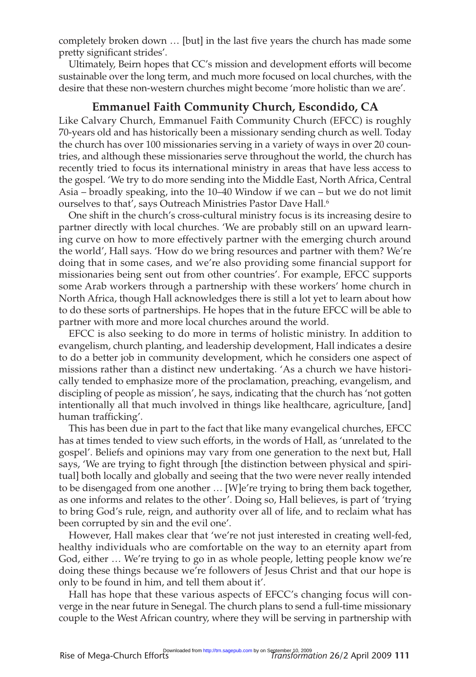completely broken down … [but] in the last five years the church has made some pretty significant strides'.

Ultimately, Beirn hopes that CC's mission and development efforts will become sustainable over the long term, and much more focused on local churches, with the desire that these non-western churches might become 'more holistic than we are'.

#### **Emmanuel Faith Community Church, Escondido, CA**

Like Calvary Church, Emmanuel Faith Community Church (EFCC) is roughly 70-years old and has historically been a missionary sending church as well. Today the church has over 100 missionaries serving in a variety of ways in over 20 countries, and although these missionaries serve throughout the world, the church has recently tried to focus its international ministry in areas that have less access to the gospel. 'We try to do more sending into the Middle East, North Africa, Central Asia – broadly speaking, into the 10–40 Window if we can – but we do not limit ourselves to that', says Outreach Ministries Pastor Dave Hall.<sup>6</sup>

One shift in the church's cross-cultural ministry focus is its increasing desire to partner directly with local churches. 'We are probably still on an upward learning curve on how to more effectively partner with the emerging church around the world', Hall says. 'How do we bring resources and partner with them? We're doing that in some cases, and we're also providing some financial support for missionaries being sent out from other countries'. For example, EFCC supports some Arab workers through a partnership with these workers' home church in North Africa, though Hall acknowledges there is still a lot yet to learn about how to do these sorts of partnerships. He hopes that in the future EFCC will be able to partner with more and more local churches around the world.

EFCC is also seeking to do more in terms of holistic ministry. In addition to evangelism, church planting, and leadership development, Hall indicates a desire to do a better job in community development, which he considers one aspect of missions rather than a distinct new undertaking. 'As a church we have historically tended to emphasize more of the proclamation, preaching, evangelism, and discipling of people as mission', he says, indicating that the church has 'not gotten intentionally all that much involved in things like healthcare, agriculture, [and] human trafficking'.

This has been due in part to the fact that like many evangelical churches, EFCC has at times tended to view such efforts, in the words of Hall, as 'unrelated to the gospel'. Beliefs and opinions may vary from one generation to the next but, Hall says, 'We are trying to fight through [the distinction between physical and spiritual] both locally and globally and seeing that the two were never really intended to be disengaged from one another … [W]e're trying to bring them back together, as one informs and relates to the other'. Doing so, Hall believes, is part of 'trying to bring God's rule, reign, and authority over all of life, and to reclaim what has been corrupted by sin and the evil one'.

However, Hall makes clear that 'we're not just interested in creating well-fed, healthy individuals who are comfortable on the way to an eternity apart from God, either ... We're trying to go in as whole people, letting people know we're doing these things because we're followers of Jesus Christ and that our hope is only to be found in him, and tell them about it'.

Hall has hope that these various aspects of EFCC's changing focus will converge in the near future in Senegal. The church plans to send a full-time missionary couple to the West African country, where they will be serving in partnership with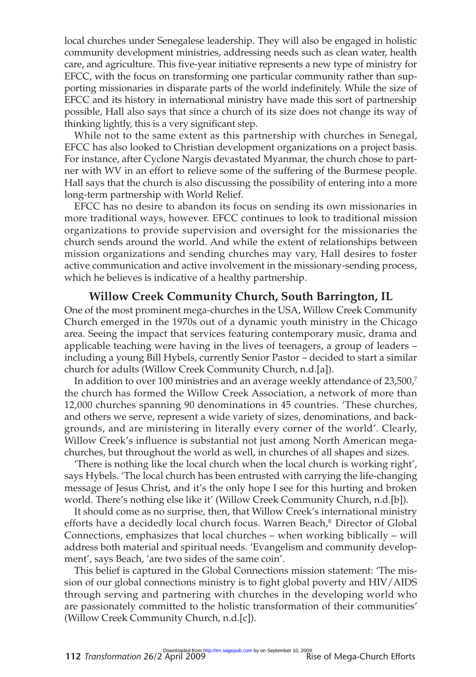local churches under Senegalese leadership. They will also be engaged in holistic community development ministries, addressing needs such as clean water, health care, and agriculture. This five-year initiative represents a new type of ministry for EFCC, with the focus on transforming one particular community rather than supporting missionaries in disparate parts of the world indefinitely. While the size of EFCC and its history in international ministry have made this sort of partnership possible, Hall also says that since a church of its size does not change its way of thinking lightly, this is a very significant step.

While not to the same extent as this partnership with churches in Senegal, EFCC has also looked to Christian development organizations on a project basis. For instance, after Cyclone Nargis devastated Myanmar, the church chose to partner with WV in an effort to relieve some of the suffering of the Burmese people. Hall says that the church is also discussing the possibility of entering into a more long-term partnership with World Relief.

EFCC has no desire to abandon its focus on sending its own missionaries in more traditional ways, however. EFCC continues to look to traditional mission organizations to provide supervision and oversight for the missionaries the church sends around the world. And while the extent of relationships between mission organizations and sending churches may vary, Hall desires to foster active communication and active involvement in the missionary-sending process, which he believes is indicative of a healthy partnership.

#### **Willow Creek Community Church, South Barrington, IL**

One of the most prominent mega-churches in the USA, Willow Creek Community Church emerged in the 1970s out of a dynamic youth ministry in the Chicago area. Seeing the impact that services featuring contemporary music, drama and applicable teaching were having in the lives of teenagers, a group of leaders – including a young Bill Hybels, currently Senior Pastor – decided to start a similar church for adults (Willow Creek Community Church, n.d.[a]).

In addition to over 100 ministries and an average weekly attendance of 23,500,7 the church has formed the Willow Creek Association, a network of more than 12,000 churches spanning 90 denominations in 45 countries. 'These churches, and others we serve, represent a wide variety of sizes, denominations, and backgrounds, and are ministering in literally every corner of the world'. Clearly, Willow Creek's influence is substantial not just among North American megachurches, but throughout the world as well, in churches of all shapes and sizes.

'There is nothing like the local church when the local church is working right', says Hybels. 'The local church has been entrusted with carrying the life-changing message of Jesus Christ, and it's the only hope I see for this hurting and broken world. There's nothing else like it' (Willow Creek Community Church, n.d.[b]).

It should come as no surprise, then, that Willow Creek's international ministry efforts have a decidedly local church focus. Warren Beach,<sup>8</sup> Director of Global Connections, emphasizes that local churches – when working biblically – will address both material and spiritual needs. 'Evangelism and community development', says Beach, 'are two sides of the same coin'.

This belief is captured in the Global Connections mission statement: 'The mission of our global connections ministry is to fight global poverty and HIV/AIDS through serving and partnering with churches in the developing world who are passionately committed to the holistic transformation of their communities' (Willow Creek Community Church, n.d.[c]).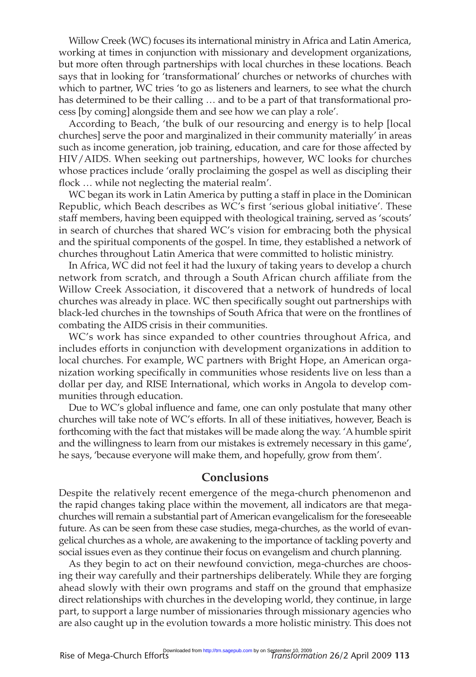Willow Creek (WC) focuses its international ministry in Africa and Latin America, working at times in conjunction with missionary and development organizations, but more often through partnerships with local churches in these locations. Beach says that in looking for 'transformational' churches or networks of churches with which to partner, WC tries 'to go as listeners and learners, to see what the church has determined to be their calling … and to be a part of that transformational process [by coming] alongside them and see how we can play a role'.

According to Beach, 'the bulk of our resourcing and energy is to help [local churches] serve the poor and marginalized in their community materially' in areas such as income generation, job training, education, and care for those affected by HIV/AIDS. When seeking out partnerships, however, WC looks for churches whose practices include 'orally proclaiming the gospel as well as discipling their flock … while not neglecting the material realm'.

WC began its work in Latin America by putting a staff in place in the Dominican Republic, which Beach describes as WC's first 'serious global initiative'. These staff members, having been equipped with theological training, served as 'scouts' in search of churches that shared WC's vision for embracing both the physical and the spiritual components of the gospel. In time, they established a network of churches throughout Latin America that were committed to holistic ministry.

In Africa, WC did not feel it had the luxury of taking years to develop a church network from scratch, and through a South African church affiliate from the Willow Creek Association, it discovered that a network of hundreds of local churches was already in place. WC then specifically sought out partnerships with black-led churches in the townships of South Africa that were on the frontlines of combating the AIDS crisis in their communities.

WC's work has since expanded to other countries throughout Africa, and includes efforts in conjunction with development organizations in addition to local churches. For example, WC partners with Bright Hope, an American organization working specifically in communities whose residents live on less than a dollar per day, and RISE International, which works in Angola to develop communities through education.

Due to WC's global influence and fame, one can only postulate that many other churches will take note of WC's efforts. In all of these initiatives, however, Beach is forthcoming with the fact that mistakes will be made along the way. 'A humble spirit and the willingness to learn from our mistakes is extremely necessary in this game', he says, 'because everyone will make them, and hopefully, grow from them'.

#### **Conclusions**

Despite the relatively recent emergence of the mega-church phenomenon and the rapid changes taking place within the movement, all indicators are that megachurches will remain a substantial part of American evangelicalism for the foreseeable future. As can be seen from these case studies, mega-churches, as the world of evangelical churches as a whole, are awakening to the importance of tackling poverty and social issues even as they continue their focus on evangelism and church planning.

As they begin to act on their newfound conviction, mega-churches are choosing their way carefully and their partnerships deliberately. While they are forging ahead slowly with their own programs and staff on the ground that emphasize direct relationships with churches in the developing world, they continue, in large part, to support a large number of missionaries through missionary agencies who are also caught up in the evolution towards a more holistic ministry. This does not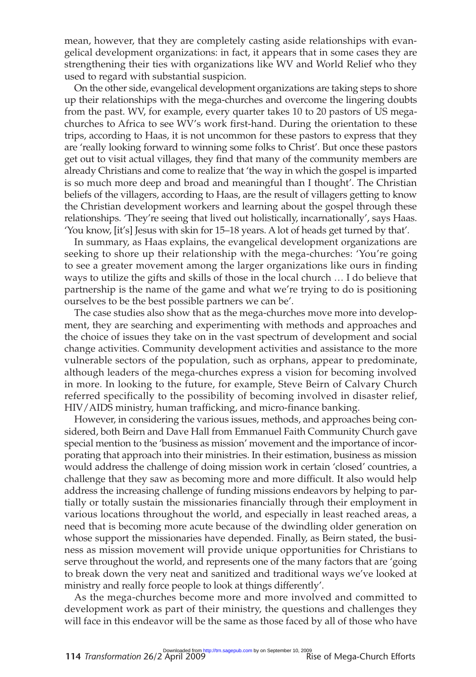mean, however, that they are completely casting aside relationships with evangelical development organizations: in fact, it appears that in some cases they are strengthening their ties with organizations like WV and World Relief who they used to regard with substantial suspicion.

On the other side, evangelical development organizations are taking steps to shore up their relationships with the mega-churches and overcome the lingering doubts from the past. WV, for example, every quarter takes 10 to 20 pastors of US megachurches to Africa to see WV's work first-hand. During the orientation to these trips, according to Haas, it is not uncommon for these pastors to express that they are 'really looking forward to winning some folks to Christ'. But once these pastors get out to visit actual villages, they find that many of the community members are already Christians and come to realize that 'the way in which the gospel is imparted is so much more deep and broad and meaningful than I thought'. The Christian beliefs of the villagers, according to Haas, are the result of villagers getting to know the Christian development workers and learning about the gospel through these relationships. 'They're seeing that lived out holistically, incarnationally', says Haas. 'You know, [it's] Jesus with skin for 15–18 years. A lot of heads get turned by that'.

In summary, as Haas explains, the evangelical development organizations are seeking to shore up their relationship with the mega-churches: 'You're going to see a greater movement among the larger organizations like ours in finding ways to utilize the gifts and skills of those in the local church … I do believe that partnership is the name of the game and what we're trying to do is positioning ourselves to be the best possible partners we can be'.

The case studies also show that as the mega-churches move more into development, they are searching and experimenting with methods and approaches and the choice of issues they take on in the vast spectrum of development and social change activities. Community development activities and assistance to the more vulnerable sectors of the population, such as orphans, appear to predominate, although leaders of the mega-churches express a vision for becoming involved in more. In looking to the future, for example, Steve Beirn of Calvary Church referred specifically to the possibility of becoming involved in disaster relief, HIV/AIDS ministry, human trafficking, and micro-finance banking.

However, in considering the various issues, methods, and approaches being considered, both Beirn and Dave Hall from Emmanuel Faith Community Church gave special mention to the 'business as mission' movement and the importance of incorporating that approach into their ministries. In their estimation, business as mission would address the challenge of doing mission work in certain 'closed' countries, a challenge that they saw as becoming more and more difficult. It also would help address the increasing challenge of funding missions endeavors by helping to partially or totally sustain the missionaries financially through their employment in various locations throughout the world, and especially in least reached areas, a need that is becoming more acute because of the dwindling older generation on whose support the missionaries have depended. Finally, as Beirn stated, the business as mission movement will provide unique opportunities for Christians to serve throughout the world, and represents one of the many factors that are 'going to break down the very neat and sanitized and traditional ways we've looked at ministry and really force people to look at things differently'.

As the mega-churches become more and more involved and committed to development work as part of their ministry, the questions and challenges they will face in this endeavor will be the same as those faced by all of those who have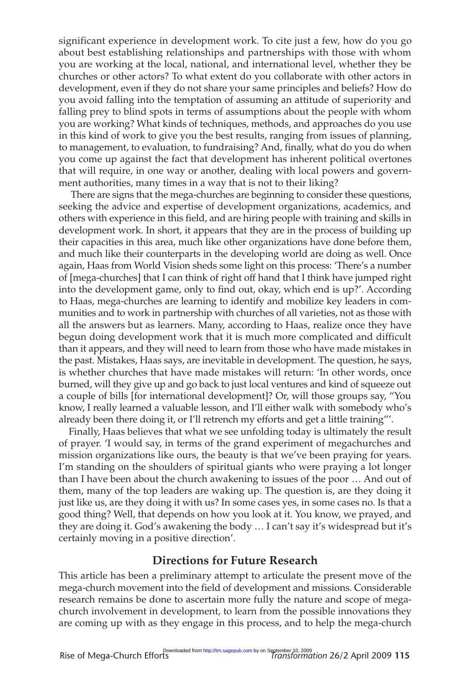significant experience in development work. To cite just a few, how do you go about best establishing relationships and partnerships with those with whom you are working at the local, national, and international level, whether they be churches or other actors? To what extent do you collaborate with other actors in development, even if they do not share your same principles and beliefs? How do you avoid falling into the temptation of assuming an attitude of superiority and falling prey to blind spots in terms of assumptions about the people with whom you are working? What kinds of techniques, methods, and approaches do you use in this kind of work to give you the best results, ranging from issues of planning, to management, to evaluation, to fundraising? And, finally, what do you do when you come up against the fact that development has inherent political overtones that will require, in one way or another, dealing with local powers and government authorities, many times in a way that is not to their liking?

 There are signs that the mega-churches are beginning to consider these questions, seeking the advice and expertise of development organizations, academics, and others with experience in this field, and are hiring people with training and skills in development work. In short, it appears that they are in the process of building up their capacities in this area, much like other organizations have done before them, and much like their counterparts in the developing world are doing as well. Once again, Haas from World Vision sheds some light on this process: 'There's a number of [mega-churches] that I can think of right off hand that I think have jumped right into the development game, only to find out, okay, which end is up?'. According to Haas, mega-churches are learning to identify and mobilize key leaders in communities and to work in partnership with churches of all varieties, not as those with all the answers but as learners. Many, according to Haas, realize once they have begun doing development work that it is much more complicated and difficult than it appears, and they will need to learn from those who have made mistakes in the past. Mistakes, Haas says, are inevitable in development. The question, he says, is whether churches that have made mistakes will return: 'In other words, once burned, will they give up and go back to just local ventures and kind of squeeze out a couple of bills [for international development]? Or, will those groups say, "You know, I really learned a valuable lesson, and I'll either walk with somebody who's already been there doing it, or I'll retrench my efforts and get a little training"'.

Finally, Haas believes that what we see unfolding today is ultimately the result of prayer. 'I would say, in terms of the grand experiment of megachurches and mission organizations like ours, the beauty is that we've been praying for years. I'm standing on the shoulders of spiritual giants who were praying a lot longer than I have been about the church awakening to issues of the poor … And out of them, many of the top leaders are waking up. The question is, are they doing it just like us, are they doing it with us? In some cases yes, in some cases no. Is that a good thing? Well, that depends on how you look at it. You know, we prayed, and they are doing it. God's awakening the body … I can't say it's widespread but it's certainly moving in a positive direction'.

#### **Directions for Future Research**

This article has been a preliminary attempt to articulate the present move of the mega-church movement into the field of development and missions. Considerable research remains be done to ascertain more fully the nature and scope of megachurch involvement in development, to learn from the possible innovations they are coming up with as they engage in this process, and to help the mega-church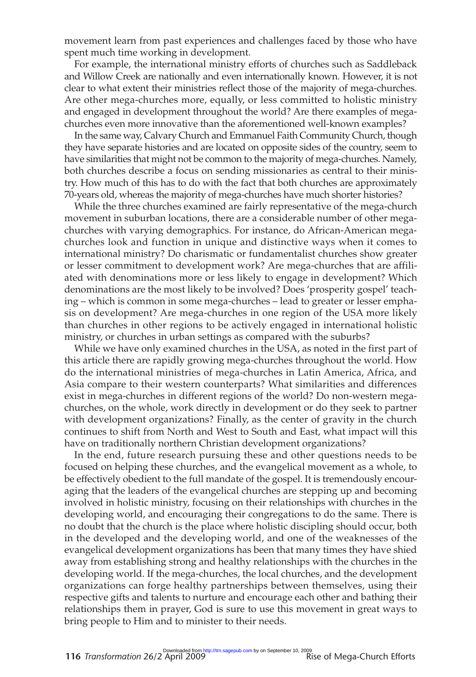movement learn from past experiences and challenges faced by those who have spent much time working in development.

For example, the international ministry efforts of churches such as Saddleback and Willow Creek are nationally and even internationally known. However, it is not clear to what extent their ministries reflect those of the majority of mega-churches. Are other mega-churches more, equally, or less committed to holistic ministry and engaged in development throughout the world? Are there examples of megachurches even more innovative than the aforementioned well-known examples?

In the same way, Calvary Church and Emmanuel Faith Community Church, though they have separate histories and are located on opposite sides of the country, seem to have similarities that might not be common to the majority of mega-churches. Namely, both churches describe a focus on sending missionaries as central to their ministry. How much of this has to do with the fact that both churches are approximately 70-years old, whereas the majority of mega-churches have much shorter histories?

While the three churches examined are fairly representative of the mega-church movement in suburban locations, there are a considerable number of other megachurches with varying demographics. For instance, do African-American megachurches look and function in unique and distinctive ways when it comes to international ministry? Do charismatic or fundamentalist churches show greater or lesser commitment to development work? Are mega-churches that are affiliated with denominations more or less likely to engage in development? Which denominations are the most likely to be involved? Does 'prosperity gospel' teaching – which is common in some mega-churches – lead to greater or lesser emphasis on development? Are mega-churches in one region of the USA more likely than churches in other regions to be actively engaged in international holistic ministry, or churches in urban settings as compared with the suburbs?

While we have only examined churches in the USA, as noted in the first part of this article there are rapidly growing mega-churches throughout the world. How do the international ministries of mega-churches in Latin America, Africa, and Asia compare to their western counterparts? What similarities and differences exist in mega-churches in different regions of the world? Do non-western megachurches, on the whole, work directly in development or do they seek to partner with development organizations? Finally, as the center of gravity in the church continues to shift from North and West to South and East, what impact will this have on traditionally northern Christian development organizations?

In the end, future research pursuing these and other questions needs to be focused on helping these churches, and the evangelical movement as a whole, to be effectively obedient to the full mandate of the gospel. It is tremendously encouraging that the leaders of the evangelical churches are stepping up and becoming involved in holistic ministry, focusing on their relationships with churches in the developing world, and encouraging their congregations to do the same. There is no doubt that the church is the place where holistic discipling should occur, both in the developed and the developing world, and one of the weaknesses of the evangelical development organizations has been that many times they have shied away from establishing strong and healthy relationships with the churches in the developing world. If the mega-churches, the local churches, and the development organizations can forge healthy partnerships between themselves, using their respective gifts and talents to nurture and encourage each other and bathing their relationships them in prayer, God is sure to use this movement in great ways to bring people to Him and to minister to their needs.